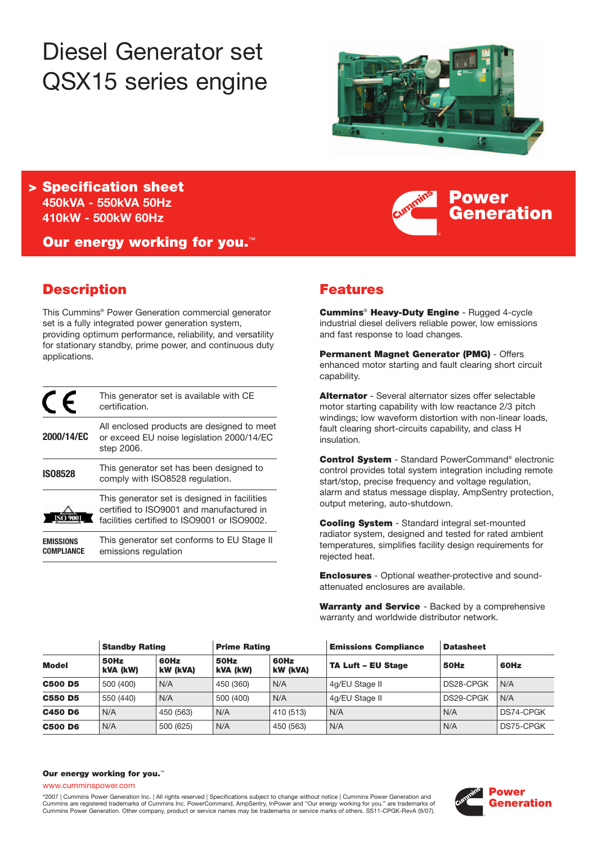# Diesel Generator set QSX15 series engine



**Power**

**Generation**

**> Specification sheet 450kVA - 550kVA 50Hz 410kW - 500kW 60Hz**

**Our energy working for you.**™

# **Description**

This Cummins® Power Generation commercial generator set is a fully integrated power generation system, providing optimum performance, reliability, and versatility for stationary standby, prime power, and continuous duty applications.

|                                       | This generator set is available with CE<br>certification.                                                                               |
|---------------------------------------|-----------------------------------------------------------------------------------------------------------------------------------------|
| 2000/14/EC                            | All enclosed products are designed to meet<br>or exceed EU noise legislation 2000/14/EC<br>step 2006.                                   |
| <b>IS08528</b>                        | This generator set has been designed to<br>comply with ISO8528 regulation.                                                              |
|                                       | This generator set is designed in facilities<br>certified to ISO9001 and manufactured in<br>facilities certified to ISO9001 or ISO9002. |
| <b>EMISSIONS</b><br><b>COMPLIANCE</b> | This generator set conforms to EU Stage II<br>emissions regulation                                                                      |

# **Features**

**Cummins**® **Heavy-Duty Engine** - Rugged 4-cycle industrial diesel delivers reliable power, low emissions and fast response to load changes.

**Permanent Magnet Generator (PMG)** - Offers enhanced motor starting and fault clearing short circuit capability.

**Alternator** - Several alternator sizes offer selectable motor starting capability with low reactance 2/3 pitch windings; low waveform distortion with non-linear loads, fault clearing short-circuits capability, and class H insulation.

**Control System** - Standard PowerCommand® electronic control provides total system integration including remote start/stop, precise frequency and voltage regulation, alarm and status message display, AmpSentry protection, output metering, auto-shutdown.

**Cooling System** - Standard integral set-mounted radiator system, designed and tested for rated ambient temperatures, simplifies facility design requirements for rejected heat.

**Enclosures** - Optional weather-protective and soundattenuated enclosures are available.

**Warranty and Service** - Backed by a comprehensive warranty and worldwide distributor network.

| <b>Model</b>   |                  | <b>Standby Rating</b> |                  | <b>Prime Rating</b> | <b>Emissions Compliance</b> | <b>Datasheet</b> |           |
|----------------|------------------|-----------------------|------------------|---------------------|-----------------------------|------------------|-----------|
|                | 50Hz<br>kVA (kW) | 60Hz<br>kW (kVA)      | 50Hz<br>kVA (kW) | 60Hz<br>kW (kVA)    | <b>TA Luft - EU Stage</b>   | 50Hz             | 60Hz      |
| <b>C500 D5</b> | 500 (400)        | N/A                   | 450 (360)        | N/A                 | 4q/EU Stage II              | DS28-CPGK        | N/A       |
| <b>C550 D5</b> | 550 (440)        | N/A                   | 500 (400)        | N/A                 | 4q/EU Stage II              | DS29-CPGK        | N/A       |
| <b>C450 D6</b> | N/A              | 450 (563)             | N/A              | 410 (513)           | N/A                         | N/A              | DS74-CPGK |
| <b>C500 D6</b> | N/A              | 500 (625)             | N/A              | 450 (563)           | N/A                         | N/A              | DS75-CPGK |

#### **Our energy working for you.**™

www.cumminspower.com

°2007 | Cummins Power Generation Inc. | All rights reserved | Specifications subject to change without notice | Cummins Power Generation and<br>Cummins are registered trademarks of Cummins Inc. PowerCommand, AmpSentry, InPow Cummins Power Generation. Other company, product or service names may be trademarks or service marks of others. SS11-CPGK-RevA (9/07).

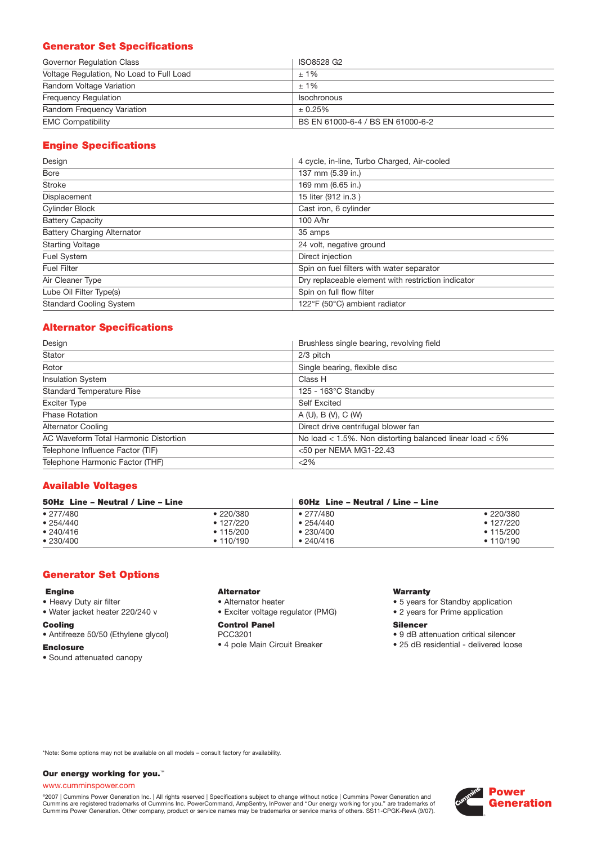# **Generator Set Specifications**

| Governor Regulation Class                | ISO8528 G2                        |
|------------------------------------------|-----------------------------------|
| Voltage Regulation, No Load to Full Load | $±1\%$                            |
| Random Voltage Variation                 | $±1\%$                            |
| <b>Frequency Regulation</b>              | Isochronous                       |
| Random Frequency Variation               | ± 0.25%                           |
| <b>EMC Compatibility</b>                 | BS EN 61000-6-4 / BS EN 61000-6-2 |

# **Engine Specifications**

| Design                             | 4 cycle, in-line, Turbo Charged, Air-cooled        |
|------------------------------------|----------------------------------------------------|
| Bore                               | 137 mm (5.39 in.)                                  |
| <b>Stroke</b>                      | 169 mm (6.65 in.)                                  |
| Displacement                       | 15 liter (912 in.3)                                |
| <b>Cylinder Block</b>              | Cast iron, 6 cylinder                              |
| <b>Battery Capacity</b>            | 100 A/hr                                           |
| <b>Battery Charging Alternator</b> | 35 amps                                            |
| <b>Starting Voltage</b>            | 24 volt, negative ground                           |
| Fuel System                        | Direct injection                                   |
| <b>Fuel Filter</b>                 | Spin on fuel filters with water separator          |
| Air Cleaner Type                   | Dry replaceable element with restriction indicator |
| Lube Oil Filter Type(s)            | Spin on full flow filter                           |
| <b>Standard Cooling System</b>     | 122°F (50°C) ambient radiator                      |

# **Alternator Specifications**

| Design                                | Brushless single bearing, revolving field                    |
|---------------------------------------|--------------------------------------------------------------|
| Stator                                | 2/3 pitch                                                    |
| Rotor                                 | Single bearing, flexible disc                                |
| <b>Insulation System</b>              | Class H                                                      |
| <b>Standard Temperature Rise</b>      | $125 - 163^{\circ}$ C Standby                                |
| <b>Exciter Type</b>                   | <b>Self Excited</b>                                          |
| <b>Phase Rotation</b>                 | A(U), B(V), C(W)                                             |
| <b>Alternator Cooling</b>             | Direct drive centrifugal blower fan                          |
| AC Waveform Total Harmonic Distortion | No load $<$ 1.5%. Non distorting balanced linear load $<$ 5% |
| Telephone Influence Factor (TIF)      | <50 per NEMA MG1-22.43                                       |
| Telephone Harmonic Factor (THF)       | <2%                                                          |

## **Available Voltages**

|                   |                                   | 60Hz Line - Neutral / Line - Line |  |  |
|-------------------|-----------------------------------|-----------------------------------|--|--|
| ● 220/380         | $\bullet$ 277/480                 | •220/380                          |  |  |
| $\bullet$ 127/220 | • 254/440                         | $\bullet$ 127/220                 |  |  |
| • 115/200         | $\cdot$ 230/400                   | $\cdot$ 115/200                   |  |  |
| • 110/190         | •240/416                          | • 110/190                         |  |  |
|                   | 50Hz Line - Neutral / Line - Line |                                   |  |  |

#### **Generator Set Options**

#### **Engine**

- Heavy Duty air filter
- Water jacket heater 220/240 v

#### **Cooling**

• Antifreeze 50/50 (Ethylene glycol)

#### **Enclosure**

• Sound attenuated canopy

#### **Alternator**

- Alternator heater
- Exciter voltage regulator (PMG)

## **Control Panel**

#### PCC3201

• 4 pole Main Circuit Breaker

#### **Warranty**

- 5 years for Standby application
- 2 years for Prime application

#### **Silencer**

- 9 dB attenuation critical silencer
- 25 dB residential delivered loose

\*Note: Some options may not be available on all models – consult factory for availability.

#### **Our energy working for you.**™

#### www.cumminspower.com

°2007 | Cummins Power Generation Inc. | All rights reserved | Specifications subject to change without notice | Cummins Power Generation and<br>Cummins are registered trademarks of Cummins Inc. PowerCommand, AmpSentry, InPow

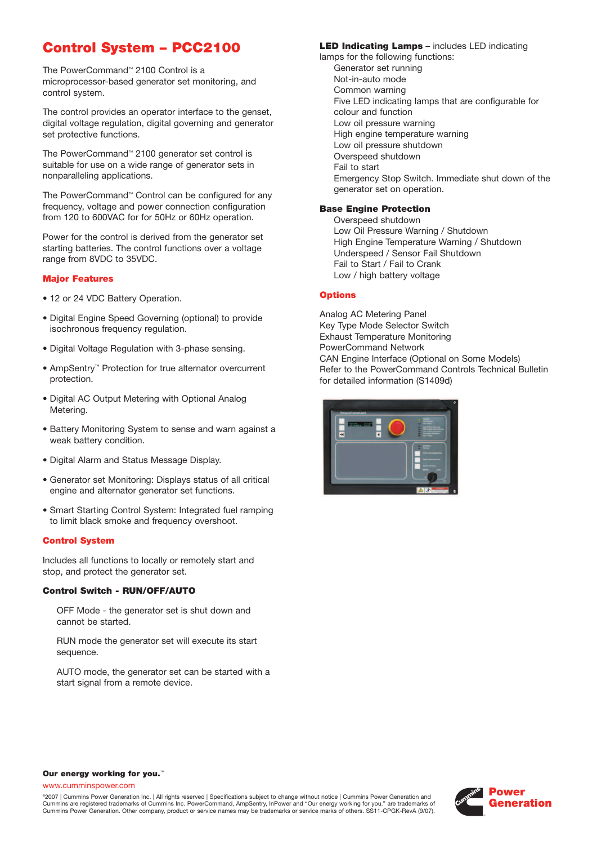# **Control System – PCC2100**

The PowerCommand™ 2100 Control is a microprocessor-based generator set monitoring, and control system.

The control provides an operator interface to the genset, digital voltage regulation, digital governing and generator set protective functions.

The PowerCommand™ 2100 generator set control is suitable for use on a wide range of generator sets in nonparalleling applications.

The PowerCommand™ Control can be configured for any frequency, voltage and power connection configuration from 120 to 600VAC for for 50Hz or 60Hz operation.

Power for the control is derived from the generator set starting batteries. The control functions over a voltage range from 8VDC to 35VDC.

#### **Major Features**

- 12 or 24 VDC Battery Operation.
- Digital Engine Speed Governing (optional) to provide isochronous frequency regulation.
- Digital Voltage Regulation with 3-phase sensing.
- AmpSentry™ Protection for true alternator overcurrent protection.
- Digital AC Output Metering with Optional Analog Metering.
- Battery Monitoring System to sense and warn against a weak battery condition.
- Digital Alarm and Status Message Display.
- Generator set Monitoring: Displays status of all critical engine and alternator generator set functions.
- Smart Starting Control System: Integrated fuel ramping to limit black smoke and frequency overshoot.

#### **Control System**

Includes all functions to locally or remotely start and stop, and protect the generator set.

#### **Control Switch - RUN/OFF/AUTO**

OFF Mode - the generator set is shut down and cannot be started.

RUN mode the generator set will execute its start sequence.

AUTO mode, the generator set can be started with a start signal from a remote device.

### **LED Indicating Lamps** – includes LED indicating

lamps for the following functions: Generator set running Not-in-auto mode Common warning Five LED indicating lamps that are configurable for colour and function Low oil pressure warning High engine temperature warning Low oil pressure shutdown Overspeed shutdown Fail to start Emergency Stop Switch. Immediate shut down of the generator set on operation.

#### **Base Engine Protection**

Overspeed shutdown Low Oil Pressure Warning / Shutdown High Engine Temperature Warning / Shutdown Underspeed / Sensor Fail Shutdown Fail to Start / Fail to Crank Low / high battery voltage

#### **Options**

Analog AC Metering Panel Key Type Mode Selector Switch Exhaust Temperature Monitoring PowerCommand Network CAN Engine Interface (Optional on Some Models) Refer to the PowerCommand Controls Technical Bulletin for detailed information (S1409d)



#### **Our energy working for you.**™

www.cumminspower.com

©2007 | Cummins Power Generation Inc. | All rights reserved | Specifications subject to change without notice | Cummins Power Generation and Cummins are registered trademarks of Cummins Inc. PowerCommand, AmpSentry, InPower and "Our energy working for you." are trademarks of Cummins Power Generation. Other company, product or service names may be trademarks or service marks of others. SS11-CPGK-RevA (9/07).